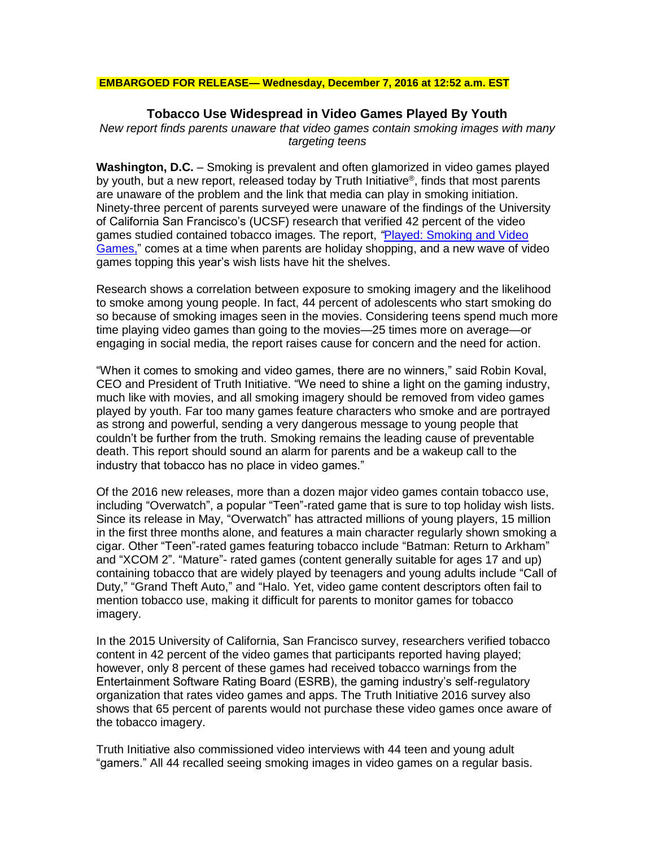#### **EMBARGOED FOR RELEASE— Wednesday, December 7, 2016 at 12:52 a.m. EST**

# **Tobacco Use Widespread in Video Games Played By Youth**

*New report finds parents unaware that video games contain smoking images with many targeting teens*

**Washington, D.C.** – Smoking is prevalent and often glamorized in video games played by youth, but a new report, released today by Truth Initiative®, finds that most parents are unaware of the problem and the link that media can play in smoking initiation. Ninety-three percent of parents surveyed were unaware of the findings of the University of California San Francisco's (UCSF) research that verified 42 percent of the video games studied contained tobacco images. The report, *"*Played: [Smoking and Video](https://truthinitiative.org/sites/default/files/Played-Smoking-in-Video-Games-2017.pdf)  [Games,"](https://truthinitiative.org/sites/default/files/Played-Smoking-in-Video-Games-2017.pdf) comes at a time when parents are holiday shopping, and a new wave of video games topping this year's wish lists have hit the shelves.

Research shows a correlation between exposure to smoking imagery and the likelihood to smoke among young people. In fact, 44 percent of adolescents who start smoking do so because of smoking images seen in the movies. Considering teens spend much more time playing video games than going to the movies—25 times more on average—or engaging in social media, the report raises cause for concern and the need for action.

"When it comes to smoking and video games, there are no winners," said Robin Koval, CEO and President of Truth Initiative. "We need to shine a light on the gaming industry, much like with movies, and all smoking imagery should be removed from video games played by youth. Far too many games feature characters who smoke and are portrayed as strong and powerful, sending a very dangerous message to young people that couldn't be further from the truth. Smoking remains the leading cause of preventable death. This report should sound an alarm for parents and be a wakeup call to the industry that tobacco has no place in video games."

Of the 2016 new releases, more than a dozen major video games contain tobacco use, including "Overwatch", a popular "Teen"-rated game that is sure to top holiday wish lists. Since its release in May, "Overwatch" has attracted millions of young players, 15 million in the first three months alone, and features a main character regularly shown smoking a cigar. Other "Teen"-rated games featuring tobacco include "Batman: Return to Arkham" and "XCOM 2". "Mature"- rated games (content generally suitable for ages 17 and up) containing tobacco that are widely played by teenagers and young adults include "Call of Duty," "Grand Theft Auto," and "Halo. Yet, video game content descriptors often fail to mention tobacco use, making it difficult for parents to monitor games for tobacco imagery.

In the 2015 University of California, San Francisco survey, researchers verified tobacco content in 42 percent of the video games that participants reported having played; however, only 8 percent of these games had received tobacco warnings from the Entertainment Software Rating Board (ESRB), the gaming industry's self-regulatory organization that rates video games and apps. The Truth Initiative 2016 survey also shows that 65 percent of parents would not purchase these video games once aware of the tobacco imagery.

Truth Initiative also commissioned video interviews with 44 teen and young adult "gamers." All 44 recalled seeing smoking images in video games on a regular basis.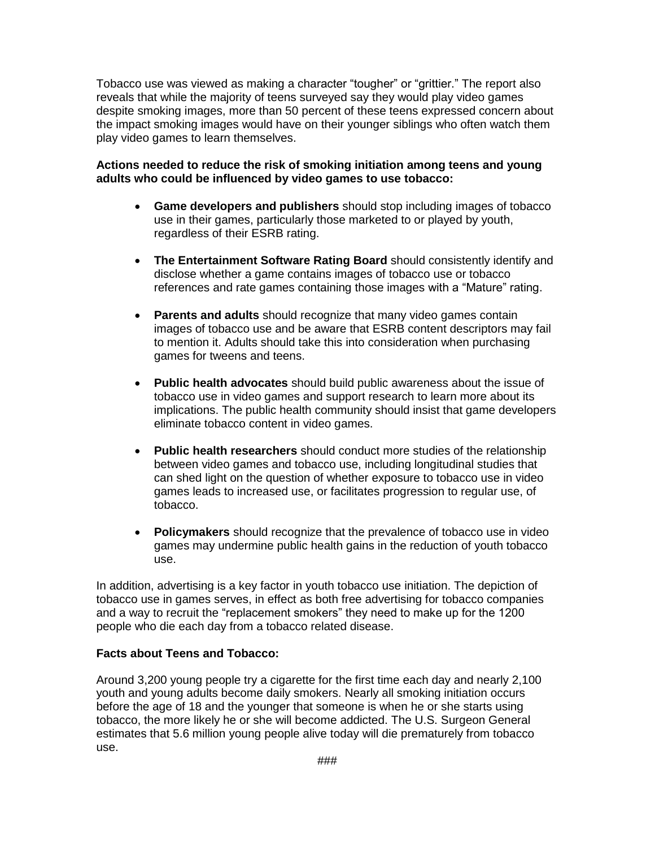Tobacco use was viewed as making a character "tougher" or "grittier." The report also reveals that while the majority of teens surveyed say they would play video games despite smoking images, more than 50 percent of these teens expressed concern about the impact smoking images would have on their younger siblings who often watch them play video games to learn themselves.

## **Actions needed to reduce the risk of smoking initiation among teens and young adults who could be influenced by video games to use tobacco:**

- **Game developers and publishers** should stop including images of tobacco use in their games, particularly those marketed to or played by youth, regardless of their ESRB rating.
- **The Entertainment Software Rating Board** should consistently identify and disclose whether a game contains images of tobacco use or tobacco references and rate games containing those images with a "Mature" rating.
- **Parents and adults** should recognize that many video games contain images of tobacco use and be aware that ESRB content descriptors may fail to mention it. Adults should take this into consideration when purchasing games for tweens and teens.
- **Public health advocates** should build public awareness about the issue of tobacco use in video games and support research to learn more about its implications. The public health community should insist that game developers eliminate tobacco content in video games.
- **Public health researchers** should conduct more studies of the relationship between video games and tobacco use, including longitudinal studies that can shed light on the question of whether exposure to tobacco use in video games leads to increased use, or facilitates progression to regular use, of tobacco.
- **Policymakers** should recognize that the prevalence of tobacco use in video games may undermine public health gains in the reduction of youth tobacco use.

In addition, advertising is a key factor in youth tobacco use initiation. The depiction of tobacco use in games serves, in effect as both free advertising for tobacco companies and a way to recruit the "replacement smokers" they need to make up for the 1200 people who die each day from a tobacco related disease.

# **Facts about Teens and Tobacco:**

Around 3,200 young people try a cigarette for the first time each day and nearly 2,100 youth and young adults become daily smokers. Nearly all smoking initiation occurs before the age of 18 and the younger that someone is when he or she starts using tobacco, the more likely he or she will become addicted. The U.S. Surgeon General estimates that 5.6 million young people alive today will die prematurely from tobacco use.